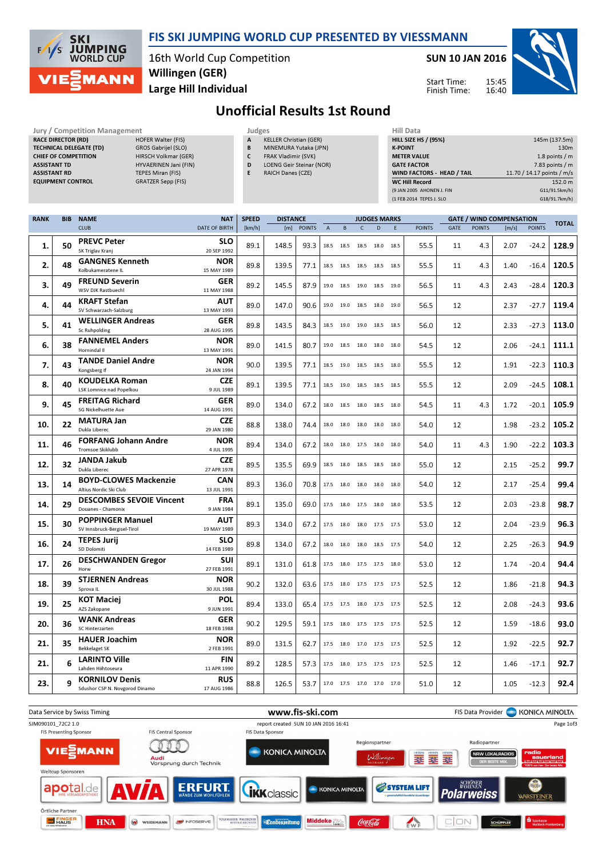

### FIS SKI JUMPING WORLD CUP PRESENTED BY VIESSMANN

16th World Cup Competition Large Hill Individual Willingen (GER)

Jury / Competition Management **All Data** Judges **Hill Data Hill Data** 

SUN 10 JAN 2016

Start Time: Finish Time:



# Unofficial Results 1st Round

| <b>RACE DIRECTOR (RD)</b><br><b>HOFER Walter (FIS)</b><br><b>TECHNICAL DELEGATE (TD)</b><br>GROS Gabrijel (SLO)<br><b>CHIEF OF COMPETITION</b><br>HIRSCH Volkmar (GER)<br><b>ASSISTANT TD</b><br>HYVAERINEN Jani (FIN)<br><b>ASSISTANT RD</b><br>TEPES Miran (FIS)<br><b>EQUIPMENT CONTROL</b><br><b>GRATZER Sepp (FIS)</b> |            |                                                          |                                 |                                    | <b>KELLER Christian (GER)</b><br>Α<br>MINEMURA Yutaka (JPN)<br>B<br>$\mathsf{C}$<br>FRAK Vladimir (SVK)<br>D<br><b>LOENG Geir Steinar (NOR)</b><br>E<br>RAICH Danes (CZE) |                 |            |                |                              |              |                          | <b>K-POINT</b> | <b>HILL SIZE HS / (95%)</b><br><b>METER VALUE</b><br><b>GATE FACTOR</b><br>WIND FACTORS - HEAD / TAIL<br><b>WC Hill Record</b><br>(9 JAN 2005 AHONEN J. FIN<br>(1 FEB 2014 TEPES J. SLO |      | 145m (137.5m)<br>130m<br>1.8 points / $m$<br>7.83 points $/m$<br>11.70 / 14.17 points / m/s<br>152.0 m<br>G11/91.5km/h)<br>G18/91.7km/h) |                                          |              |       |
|-----------------------------------------------------------------------------------------------------------------------------------------------------------------------------------------------------------------------------------------------------------------------------------------------------------------------------|------------|----------------------------------------------------------|---------------------------------|------------------------------------|---------------------------------------------------------------------------------------------------------------------------------------------------------------------------|-----------------|------------|----------------|------------------------------|--------------|--------------------------|----------------|-----------------------------------------------------------------------------------------------------------------------------------------------------------------------------------------|------|------------------------------------------------------------------------------------------------------------------------------------------|------------------------------------------|--------------|-------|
| <b>RANK</b>                                                                                                                                                                                                                                                                                                                 | <b>BIB</b> | <b>NAME</b><br><b>CLUB</b>                               |                                 | <b>NAT</b><br><b>DATE OF BIRTH</b> | <b>SPEED</b><br>[km/h]                                                                                                                                                    | <b>DISTANCE</b> | [m] POINTS | $\overline{A}$ | $\sf{B}$                     | $\mathsf{C}$ | <b>JUDGES MARKS</b><br>D | E              | <b>POINTS</b>                                                                                                                                                                           | GATE | <b>POINTS</b>                                                                                                                            | <b>GATE / WIND COMPENSATION</b><br>[m/s] | <b>TOTAL</b> |       |
| 1.                                                                                                                                                                                                                                                                                                                          | 50         | <b>PREVC Peter</b><br>SK Triglav Kranj                   |                                 | <b>SLO</b><br>20 SEP 1992          | 89.1                                                                                                                                                                      | 148.5           | 93.3       | 18.5           | 18.5 18.5                    |              | 18.0 18.5                |                | 55.5                                                                                                                                                                                    | 11   | 4.3                                                                                                                                      | 2.07                                     | $-24.2$      | 128.9 |
| 2.                                                                                                                                                                                                                                                                                                                          | 48         | <b>GANGNES Kenneth</b><br>Kolbukameratene IL             |                                 | <b>NOR</b><br>15 MAY 1989          | 89.8                                                                                                                                                                      | 139.5           | 77.1       | 18.5           | 18.5 18.5                    |              | 18.5 18.5                |                | 55.5                                                                                                                                                                                    | 11   | 4.3                                                                                                                                      | 1.40                                     | $-16.4$      | 120.5 |
| 3.                                                                                                                                                                                                                                                                                                                          | 49         | <b>FREUND Severin</b><br>WSV DJK Rastbuechl              |                                 | GER<br>11 MAY 1988                 | 89.2                                                                                                                                                                      | 145.5           | 87.9       | 19.0           | 18.5 19.0 18.5 19.0          |              |                          |                | 56.5                                                                                                                                                                                    | 11   | 4.3                                                                                                                                      | 2.43                                     | $-28.4$      | 120.3 |
| 4.                                                                                                                                                                                                                                                                                                                          | 44         | <b>KRAFT Stefan</b><br>SV Schwarzach-Salzburg            |                                 | AUT<br>13 MAY 1993                 | 89.0                                                                                                                                                                      | 147.0           | 90.6       |                | 19.0 19.0 18.5               |              | 18.0 19.0                |                | 56.5                                                                                                                                                                                    | 12   |                                                                                                                                          | 2.37                                     | $-27.7$      | 119.4 |
| 5.                                                                                                                                                                                                                                                                                                                          | 41         | <b>WELLINGER Andreas</b><br><b>Sc Ruhpolding</b>         |                                 | GER<br>28 AUG 1995                 | 89.8                                                                                                                                                                      | 143.5           | 84.3       |                | 18.5 19.0 19.0 18.5 18.5     |              |                          |                | 56.0                                                                                                                                                                                    | 12   |                                                                                                                                          | 2.33                                     | $-27.3$      | 113.0 |
| 6.                                                                                                                                                                                                                                                                                                                          | 38         | <b>FANNEMEL Anders</b><br>Hornindal II                   |                                 | <b>NOR</b><br>13 MAY 1991          | 89.0                                                                                                                                                                      | 141.5           | 80.7       |                | 19.0 18.5 18.0 18.0 18.0     |              |                          |                | 54.5                                                                                                                                                                                    | 12   |                                                                                                                                          | 2.06                                     | $-24.1$      | 111.1 |
| 7.                                                                                                                                                                                                                                                                                                                          | 43         | <b>TANDE Daniel Andre</b><br>Kongsberg If                |                                 | <b>NOR</b><br>24 JAN 1994          | 90.0                                                                                                                                                                      | 139.5           | 77.1       |                | 18.5 19.0 18.5               |              | 18.5 18.0                |                | 55.5                                                                                                                                                                                    | 12   |                                                                                                                                          | 1.91                                     | $-22.3$      | 110.3 |
| 8.                                                                                                                                                                                                                                                                                                                          | 40         | <b>KOUDELKA Roman</b><br><b>LSK Lomnice nad Popelkou</b> |                                 | CZE<br>9 JUL 1989                  | 89.1                                                                                                                                                                      | 139.5           | 77.1       |                | 18.5 19.0 18.5 18.5 18.5     |              |                          |                | 55.5                                                                                                                                                                                    | 12   |                                                                                                                                          | 2.09                                     | $-24.5$      | 108.1 |
| 9.                                                                                                                                                                                                                                                                                                                          | 45         | <b>FREITAG Richard</b><br><b>SG Nickelhuette Aue</b>     |                                 | <b>GER</b><br>14 AUG 1991          | 89.0                                                                                                                                                                      | 134.0           | 67.2       |                | 18.0 18.5 18.0 18.5 18.0     |              |                          |                | 54.5                                                                                                                                                                                    | 11   | 4.3                                                                                                                                      | 1.72                                     | $-20.1$      | 105.9 |
| 10.                                                                                                                                                                                                                                                                                                                         | 22         | <b>MATURA Jan</b><br>Dukla Liberec                       |                                 | <b>CZE</b><br>29 JAN 1980          | 88.8                                                                                                                                                                      | 138.0           | 74.4       | 18.0           | 18.0 18.0                    |              | 18.0 18.0                |                | 54.0                                                                                                                                                                                    | 12   |                                                                                                                                          | 1.98                                     | $-23.2$      | 105.2 |
| 11.                                                                                                                                                                                                                                                                                                                         | 46         | <b>FORFANG Johann Andre</b><br>Tromsoe Skiklubb          |                                 | <b>NOR</b><br>4 JUL 1995           | 89.4                                                                                                                                                                      | 134.0           | 67.2       |                | 18.0 18.0 17.5 18.0 18.0     |              |                          |                | 54.0                                                                                                                                                                                    | 11   | 4.3                                                                                                                                      | 1.90                                     | $-22.2$      | 103.3 |
| 12.                                                                                                                                                                                                                                                                                                                         | 32         | <b>JANDA Jakub</b><br>Dukla Liberec                      |                                 | CZE<br>27 APR 1978                 | 89.5                                                                                                                                                                      | 135.5           | 69.9       |                | 18.5 18.0 18.5 18.5 18.0     |              |                          |                | 55.0                                                                                                                                                                                    | 12   |                                                                                                                                          | 2.15                                     | $-25.2$      | 99.7  |
| 13.                                                                                                                                                                                                                                                                                                                         | 14         | <b>BOYD-CLOWES Mackenzie</b><br>Altius Nordic Ski Club   |                                 | <b>CAN</b><br>13 JUL 1991          | 89.3                                                                                                                                                                      | 136.0           | 70.8       |                | 17.5 18.0 18.0               |              | 18.0 18.0                |                | 54.0                                                                                                                                                                                    | 12   |                                                                                                                                          | 2.17                                     | $-25.4$      | 99.4  |
| 14.                                                                                                                                                                                                                                                                                                                         | 29         | Douanes - Chamonix                                       | <b>DESCOMBES SEVOIE Vincent</b> | <b>FRA</b><br>9 JAN 1984           | 89.1                                                                                                                                                                      | 135.0           | 69.0       |                | 17.5 18.0 17.5 18.0 18.0     |              |                          |                | 53.5                                                                                                                                                                                    | 12   |                                                                                                                                          | 2.03                                     | $-23.8$      | 98.7  |
| 15.                                                                                                                                                                                                                                                                                                                         | 30         | <b>POPPINGER Manuel</b><br>SV Innsbruck-Bergisel-Tirol   |                                 | <b>AUT</b><br>19 MAY 1989          | 89.3                                                                                                                                                                      | 134.0           | 67.2       | 17.5           | 18.0 18.0 17.5 17.5          |              |                          |                | 53.0                                                                                                                                                                                    | 12   |                                                                                                                                          | 2.04                                     | $-23.9$      | 96.3  |
| 16.                                                                                                                                                                                                                                                                                                                         | 24         | <b>TEPES Jurij</b><br>SD Dolomiti                        |                                 | <b>SLO</b><br>14 FEB 1989          | 89.8                                                                                                                                                                      | 134.0           | 67.2       |                | 18.0 18.0 18.0 18.5 17.5     |              |                          |                | 54.0                                                                                                                                                                                    | 12   |                                                                                                                                          | 2.25                                     | $-26.3$      | 94.9  |
| 17.                                                                                                                                                                                                                                                                                                                         | 26         | <b>DESCHWANDEN Gregor</b><br>Horw                        |                                 | SUI<br>27 FEB 1991                 | 89.1                                                                                                                                                                      | 131.0           | 61.8       |                | 17.5 18.0 17.5 17.5 18.0     |              |                          |                | 53.0                                                                                                                                                                                    | 12   |                                                                                                                                          | 1.74                                     | $-20.4$      | 94.4  |
| 18.                                                                                                                                                                                                                                                                                                                         | 39         | <b>STJERNEN Andreas</b><br>Sprova IL                     |                                 | <b>NOR</b><br>30 JUL 1988          | 90.2                                                                                                                                                                      | 132.0           | 63.6       |                | 17.5 18.0 17.5 17.5 17.5     |              |                          |                | 52.5                                                                                                                                                                                    | 12   |                                                                                                                                          | 1.86                                     | $-21.8$      | 94.3  |
| 19.                                                                                                                                                                                                                                                                                                                         | 25         | KOT Maciej<br>AZS Zakopane                               |                                 | <b>POL</b><br>9 JUN 1991           | 89.4                                                                                                                                                                      | 133.0           | 65.4       |                | 17.5 17.5 18.0 17.5 17.5     |              |                          |                | 52.5                                                                                                                                                                                    | 12   |                                                                                                                                          | 2.08                                     | $-24.3$      | 93.6  |
| 20.                                                                                                                                                                                                                                                                                                                         | 36         | <b>WANK Andreas</b><br>SC Hinterzarten                   |                                 | <b>GER</b><br>18 FEB 1988          | 90.2                                                                                                                                                                      | 129.5           | 59.1       |                | 17.5 18.0 17.5 17.5 17.5     |              |                          |                | 52.5                                                                                                                                                                                    | 12   |                                                                                                                                          | 1.59                                     | $-18.6$      | 93.0  |
| 21.                                                                                                                                                                                                                                                                                                                         | 35         | <b>HAUER Joachim</b><br><b>Bekkelaget SK</b>             |                                 | <b>NOR</b><br>2 FEB 1991           | 89.0                                                                                                                                                                      | 131.5           | 62.7       |                | 17.5 18.0 17.0 17.5 17.5     |              |                          |                | 52.5                                                                                                                                                                                    | 12   |                                                                                                                                          | 1.92                                     | $-22.5$      | 92.7  |
| 21.                                                                                                                                                                                                                                                                                                                         | 6          | <b>LARINTO Ville</b><br>Lahden Hiihtoseura               |                                 | <b>FIN</b><br>11 APR 1990          | 89.2                                                                                                                                                                      | 128.5           | 57.3       |                | 17.5 18.0 17.5 17.5 17.5     |              |                          |                | 52.5                                                                                                                                                                                    | 12   |                                                                                                                                          | 1.46                                     | $-17.1$      | 92.7  |
| 23.                                                                                                                                                                                                                                                                                                                         | 9          | <b>KORNILOV Denis</b><br>Sdushor CSP N. Novgorod Dinamo  |                                 | <b>RUS</b><br>17 AUG 1986          | 88.8                                                                                                                                                                      | 126.5           | 53.7       |                | 17.0  17.5  17.0  17.0  17.0 |              |                          |                | 51.0                                                                                                                                                                                    | 12   |                                                                                                                                          | 1.05                                     | $-12.3$      | 92.4  |

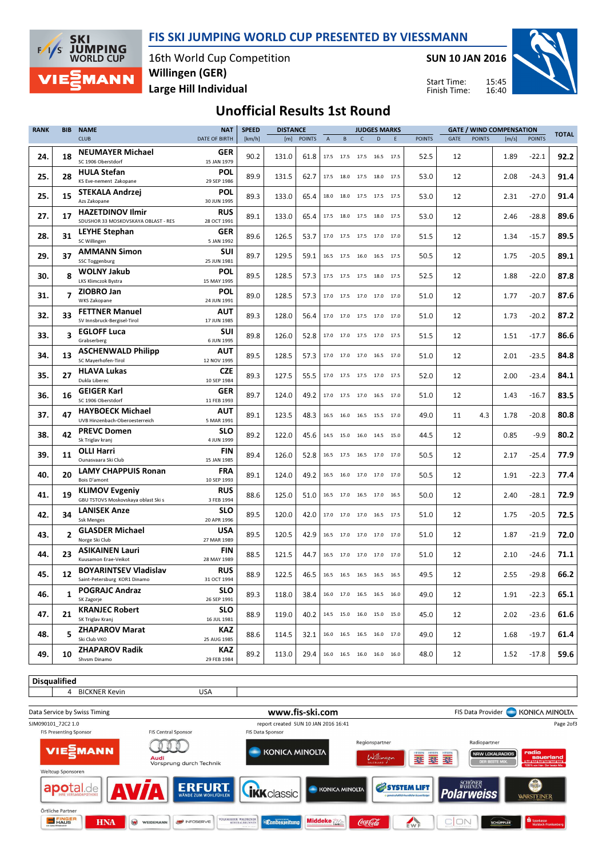



Disqualified

 $\mathbf{L}$ 

16th World Cup Competition Large Hill Individual Willingen (GER)

SUN 10 JAN 2016

Start Time: Finish Time:



## Unofficial Results 1st Round

| <b>RANK</b> | <b>BIB</b>               | <b>NAME</b>                                                                         | <b>NAT</b>                             | <b>SPEED</b> |       | <b>DISTANCE</b> |                           |                                                        |                | <b>JUDGES MARKS</b> |      |               |      | <b>GATE / WIND COMPENSATION</b> |       |               |              |
|-------------|--------------------------|-------------------------------------------------------------------------------------|----------------------------------------|--------------|-------|-----------------|---------------------------|--------------------------------------------------------|----------------|---------------------|------|---------------|------|---------------------------------|-------|---------------|--------------|
|             |                          | <b>CLUB</b>                                                                         | <b>DATE OF BIRTH</b>                   | [km/h]       | [m]   | <b>POINTS</b>   | $\boldsymbol{\mathsf{A}}$ | B                                                      | $\mathsf{C}$   | D                   | E    | <b>POINTS</b> | GATE | <b>POINTS</b>                   | [m/s] | <b>POINTS</b> | <b>TOTAL</b> |
| 24.         | 18                       | <b>NEUMAYER Michael</b><br>SC 1906 Oberstdorf                                       | GER<br>15 JAN 1979                     | 90.2         | 131.0 | 61.8            |                           | 17.5 17.5 17.5 16.5 17.5                               |                |                     |      | 52.5          | 12   |                                 | 1.89  | $-22.1$       | 92.2         |
| 25.         | 28                       | <b>HULA Stefan</b><br>KS Eve-nement Zakopane                                        | <b>POL</b><br>29 SEP 1986              | 89.9         | 131.5 | 62.7            |                           | 17.5 18.0 17.5 18.0 17.5                               |                |                     |      | 53.0          | 12   |                                 | 2.08  | $-24.3$       | 91.4         |
| 25.         | 15                       | STEKALA Andrzej<br>Azs Zakopane                                                     | <b>POL</b><br>30 JUN 1995              | 89.3         | 133.0 | 65.4            |                           | 18.0 18.0 17.5 17.5 17.5                               |                |                     |      | 53.0          | 12   |                                 | 2.31  | $-27.0$       | 91.4         |
| 27.         | 17                       | <b>HAZETDINOV Ilmir</b><br>SDUSHOR 33 MOSKOVSKAYA OBLAST - RES                      | RUS<br>28 OCT 1991                     | 89.1         | 133.0 | 65.4            |                           | 17.5 18.0 17.5 18.0 17.5                               |                |                     |      | 53.0          | 12   |                                 | 2.46  | $-28.8$       | 89.6         |
| 28.         | 31                       | LEYHE Stephan<br>SC Willingen                                                       | GER<br>5 JAN 1992                      | 89.6         | 126.5 | 53.7            |                           | 17.0 17.5 17.5 17.0 17.0                               |                |                     |      | 51.5          | 12   |                                 | 1.34  | $-15.7$       | 89.5         |
| 29.         | 37                       | <b>AMMANN Simon</b><br><b>SSC Toggenburg</b>                                        | SUI<br>25 JUN 1981                     | 89.7         | 129.5 | 59.1            |                           | 16.5 17.5 16.0 16.5 17.5                               |                |                     |      | 50.5          | 12   |                                 | 1.75  | $-20.5$       | 89.1         |
| 30.         | 8                        | <b>WOLNY Jakub</b><br>LKS Klimczok Bystra                                           | <b>POL</b><br>15 MAY 1995              | 89.5         | 128.5 | 57.3            |                           | 17.5 17.5 17.5 18.0                                    |                |                     | 17.5 | 52.5          | 12   |                                 | 1.88  | $-22.0$       | 87.8         |
| 31.         | $\overline{\phantom{a}}$ | ZIOBRO Jan<br><b>WKS Zakopane</b>                                                   | <b>POL</b><br>24 JUN 1991              | 89.0         | 128.5 | 57.3            |                           | 17.0 17.5 17.0 17.0                                    |                |                     | 17.0 | 51.0          | 12   |                                 | 1.77  | $-20.7$       | 87.6         |
| 32.         | 33                       | <b>FETTNER Manuel</b><br>SV Innsbruck-Bergisel-Tirol                                | AUT<br>17 JUN 1985                     | 89.3         | 128.0 | 56.4            |                           | 17.0 17.0 17.5 17.0 17.0                               |                |                     |      | 51.0          | 12   |                                 | 1.73  | $-20.2$       | 87.2         |
| 33.         | 3                        | <b>EGLOFF Luca</b><br>Grabserberg                                                   | SUI<br>6 JUN 1995                      | 89.8         | 126.0 | 52.8            |                           | 17.0 17.0 17.5 17.0                                    |                |                     | 17.5 | 51.5          | 12   |                                 | 1.51  | $-17.7$       | 86.6         |
| 34.         | 13                       | <b>ASCHENWALD Philipp</b><br>SC Mayerhofen-Tirol                                    | AUT<br>12 NOV 1995                     | 89.5         | 128.5 | 57.3            |                           | 17.0 17.0                                              | 17.0 16.5      |                     | 17.0 | 51.0          | 12   |                                 | 2.01  | $-23.5$       | 84.8         |
| 35.         | 27                       | <b>HLAVA Lukas</b><br>Dukla Liberec                                                 | <b>CZE</b><br>10 SEP 1984              | 89.3         | 127.5 | 55.5            |                           | 17.0 17.5 17.5 17.0 17.5                               |                |                     |      | 52.0          | 12   |                                 | 2.00  | $-23.4$       | 84.1         |
| 36.         | 16                       | <b>GEIGER Karl</b><br>SC 1906 Oberstdorf                                            | GER<br>11 FEB 1993                     | 89.7         | 124.0 | 49.2            |                           | 17.0 17.5 17.0 16.5 17.0                               |                |                     |      | 51.0          | 12   |                                 | 1.43  | $-16.7$       | 83.5         |
| 37.         | 47                       | <b>HAYBOECK Michael</b><br>UVB Hinzenbach-Oberoesterreich                           | AUT<br>5 MAR 1991                      | 89.1         | 123.5 | 48.3            |                           | 16.5 16.0                                              | 16.5 15.5 17.0 |                     |      | 49.0          | 11   | 4.3                             | 1.78  | $-20.8$       | 80.8         |
| 38.         | 42                       | <b>PREVC Domen</b><br>Sk Triglav kranj                                              | <b>SLO</b><br>4 JUN 1999<br><b>FIN</b> | 89.2         | 122.0 | 45.6            |                           | 14.5 15.0 16.0 14.5 15.0                               |                |                     |      | 44.5          | 12   |                                 | 0.85  | $-9.9$        | 80.2         |
| 39.         | 11                       | <b>OLLI Harri</b><br>Ounasvaara Ski Club<br><b>LAMY CHAPPUIS Ronan</b>              | 15 JAN 1985<br>FRA                     | 89.4         | 126.0 | 52.8            |                           | 16.5 17.5 16.5 17.0 17.0                               |                |                     |      | 50.5          | 12   |                                 | 2.17  | $-25.4$       | 77.9         |
| 40.         | 20                       | Bois D'amont                                                                        | 10 SEP 1993<br>RUS                     | 89.1         | 124.0 | 49.2            |                           | 16.5 16.0 17.0 17.0 17.0                               |                |                     |      | 50.5          | 12   |                                 | 1.91  | $-22.3$       | 77.4         |
| 41.         | 19                       | <b>KLIMOV Evgeniy</b><br>GBU TSTOVS Moskovskaya oblast Ski s<br><b>LANISEK Anze</b> | 3 FEB 1994<br><b>SLO</b>               | 88.6         | 125.0 | 51.0            |                           | 16.5 17.0 16.5 17.0                                    |                |                     | 16.5 | 50.0          | 12   |                                 | 2.40  | $-28.1$       | 72.9         |
| 42.         | 34                       | <b>Ssk Menges</b><br><b>GLASDER Michael</b>                                         | 20 APR 1996<br><b>USA</b>              | 89.5         | 120.0 | 42.0            |                           | 17.0 17.0 17.0 16.5                                    |                |                     | 17.5 | 51.0          | 12   |                                 | 1.75  | $-20.5$       | 72.5         |
| 43.         | $\overline{2}$           | Norge Ski Club<br><b>ASIKAINEN Lauri</b>                                            | 27 MAR 1989<br>FIN                     | 89.5         | 120.5 | 42.9            |                           | 16.5 17.0 17.0 17.0 17.0                               |                |                     |      | 51.0          | 12   |                                 | 1.87  | $-21.9$       | 72.0         |
| 44.         | 23                       | Kuusamon Erae-Veikot<br><b>BOYARINTSEV Vladislav</b>                                | 28 MAY 1989<br><b>RUS</b>              | 88.5         | 121.5 | 44.7            |                           | 16.5 17.0 17.0 17.0 17.0                               |                |                     |      | 51.0          | 12   |                                 | 2.10  | $-24.6$       | 71.1         |
| 45.         | 12                       | Saint-Petersburg KOR1 Dinamo<br><b>POGRAJC Andraz</b>                               | 31 OCT 1994<br><b>SLO</b>              | 88.9         | 122.5 | 46.5            |                           | 16.5 16.5 16.5 16.5 16.5                               |                |                     |      | 49.5          | 12   |                                 | 2.55  | $-29.8$       | 66.2         |
| 46.         | 1                        | SK Zagorje<br><b>KRANJEC Robert</b>                                                 | 26 SEP 1991<br><b>SLO</b>              | 89.3         | 118.0 | 38.4            |                           | 16.0 17.0 16.5 16.5 16.0                               |                |                     |      | 49.0          | 12   |                                 | 1.91  | $-22.3$       | 65.1         |
| 47.         | 21                       | SK Triglav Kranj                                                                    | 16 JUL 1981<br>KAZ                     | 88.9         | 119.0 | 40.2            |                           | 14.5 15.0 16.0 15.0 15.0                               |                |                     |      | 45.0          | 12   |                                 | 2.02  | $-23.6$       | 61.6         |
| 48.         | 5                        | <b>ZHAPAROV Marat</b><br>Ski Club VKO                                               | 25 AUG 1985                            | 88.6         | 114.5 | 32.1            |                           | 16.0 16.5 16.5 16.0 17.0                               |                |                     |      | 49.0          | 12   |                                 | 1.68  | $-19.7$       | 61.4         |
| 49.         | 10                       | <b>ZHAPAROV Radik</b><br>Shvsm Dinamo                                               | KAZ<br>29 FEB 1984                     | 89.2         | 113.0 | 29.4            |                           | $16.0 \qquad 16.5 \qquad 16.0 \qquad 16.0 \qquad 16.0$ |                |                     |      | 48.0          | 12   |                                 | 1.52  | $-17.8$       | 59.6         |